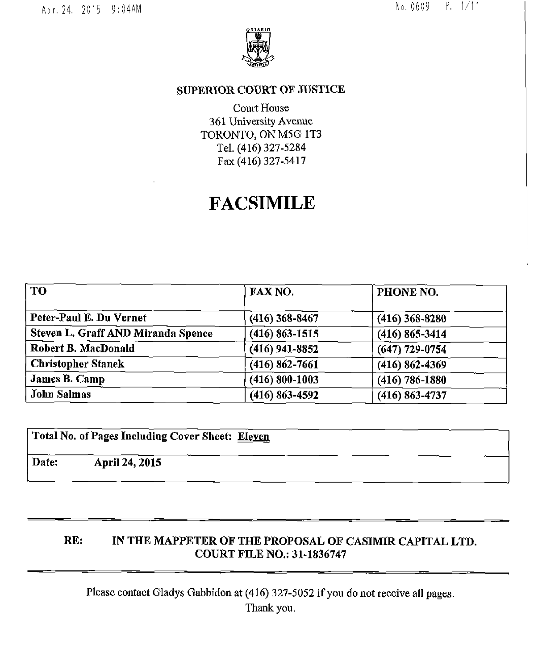

## **SUPERIOR COURT OF JUSTICE**

Court House 361 University Avenue TORONTO, ON M5G 1T3 Tel. (416) 327-5284 Fax (416) 327-5417

# **FACSIMILE**

| <b>TO</b>                          | <b>FAX NO.</b>     | PHONE NO.          |
|------------------------------------|--------------------|--------------------|
| Peter-Paul E. Du Vernet            | $(416)$ 368-8467   | $(416)$ 368-8280   |
| Steven L. Graff AND Miranda Spence | $(416) 863 - 1515$ | $(416) 865 - 3414$ |
| Robert B. MacDonald                | $(416)$ 941-8852   | $(647)$ 729-0754   |
| <b>Christopher Stanek</b>          | $(416) 862 - 7661$ | $(416) 862 - 4369$ |
| James B. Camp                      | $(416) 800 - 1003$ | $(416) 786 - 1880$ |
| <b>John Salmas</b>                 | $(416) 863 - 4592$ | $(416) 863 - 4737$ |

**Total No. of Pages Including Cover Sheet: Eleven** 

**Date: April 24, 2015** 

## **RE: IN THE MAPPETER OF THE PROPOSAL OF CASIMIR CAPITAL LTD. COURT FILE NO.: 31-1836747**

Please contact Gladys Gabbidon at (416) 327-5052 if you do not receive all pages. Thank you.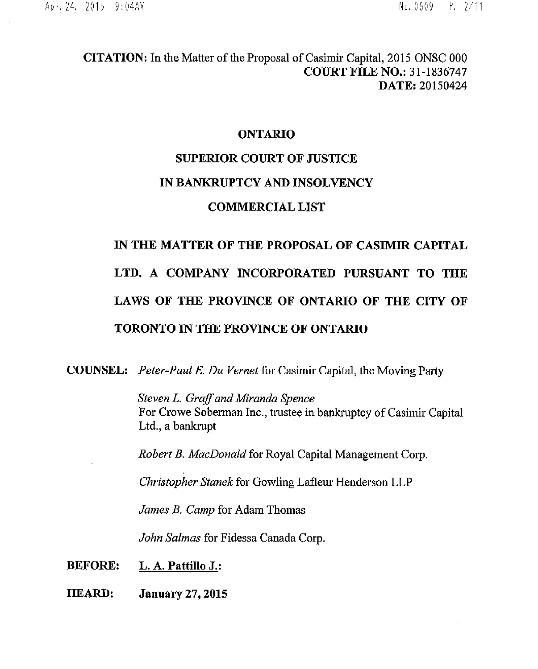## **CITATION:** In the Matter of the Proposal of Casimir Capital, 2015 ONSC 000 **COURT FILE NO.: 31-1836747 DATE: 20150424**

## **ONTARIO**

# **SUPERIOR COURT OF JUSTICE IN BANKRUPTCY AND INSOLVENCY COMMERCIAL LIST**

# **IN THE MATTER OF THE PROPOSAL OF CASIMIR CAPITAL LTD. A COMPANY INCORPORATED PURSUANT TO THE LAWS OF THE PROVINCE OF ONTARIO OF THE CITY OF TORONTO IN THE PROVINCE OF ONTARIO**

**COUNSEL:** *Peter-Paul E. Du Vernet* for Casimir Capital, the Moving Paity

*Steven L. Graff and Miranda Spence*  For Crowe Soberman Inc., trustee in bankruptcy of Casimir Capital Ltd., a bankrupt

*Robert B. MacDonald* for Royal Capital Management Corp.

*Christopher Stanek* for Cowling Lafleur Henderson LLP

*James B. Camp* for Adam Thomas

*John Salmas* for Fidessa Canada Corp.

**BEFORE: L. A. Pattillo J.:** 

**HEARD: January 27,2015**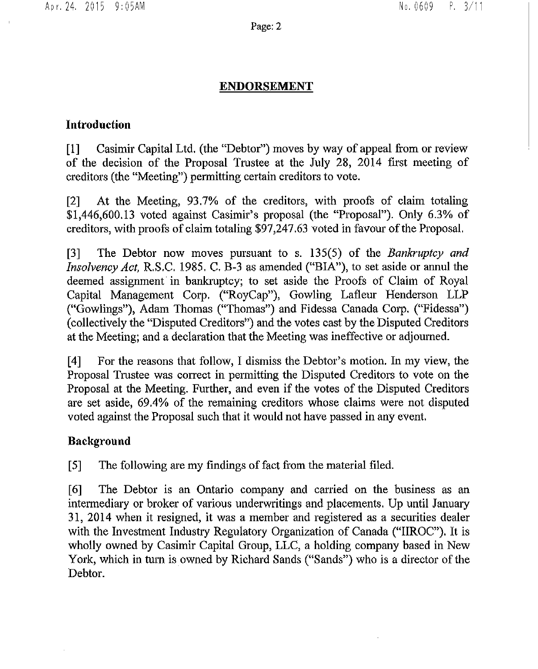#### Page: 2

## **ENDORSEMENT**

## **Introduction**

[1] Casimir Capital Ltd, (the "Debtor") moves by way of appeal from or review of the decision of the Proposal Trustee at the July 28, 2014 first meeting of creditors (the "Meeting") permitting certain creditors to vote,

[2] At the Meeting, 93,7% of the creditors, with proofs of claim totaling \$1,446,600.13 voted against Casimir's proposal (the "Proposal"). Only 6.3% of creditors, with proofs of claim totaling \$97,247.63 voted in favour of the Proposal.

[3] The Debtor now moves pursuant to s. 135(5) of the *Bankruptcy and Insolvency Act,* R.S.C. 1985, C, B-3 as amended ("BIA"), to set aside or annul the deemed assignment in bankruptcy; to set aside the Proofs of Claim of Royal Capital Management Corp, ("RoyCap"), Cowling Lafleur Henderson LLP ("Cowlings"), Adam Thomas ("Thomas") and Fidessa Canada Corp. ("Fidessa") (collectively the "Disputed Creditors") and the votes cast by the Disputed Creditors at the Meeting; and a declaration that the Meeting was ineffective or adjourned.

[4] For the reasons that follow, I dismiss the Debtor's motion. In my view, the Proposal Trustee was correct in permitting the Disputed Creditors to vote on the Proposal at the Meeting. Further, and even if the votes of the Disputed Creditors are set aside, 69.4% of the remaining creditors whose claims were not disputed voted against the Proposal such that it would not have passed in any event.

## **Background**

[5] The following are my findings of fact from the material filed.

[6] The Debtor is an Ontario company and carried on the business as an intermediary or broker of various underwritings and placements. Up until January 31, 2014 when it resigned, it was a member and registered as a securities dealer with the Investment Industry Regulatory Organization of Canada ("IIROC"). It is wholly owned by Casimir Capital Group, LLC, a holding company based in New York, which in turn is owned by Richard Sands ("Sands") who is a director of the Debtor.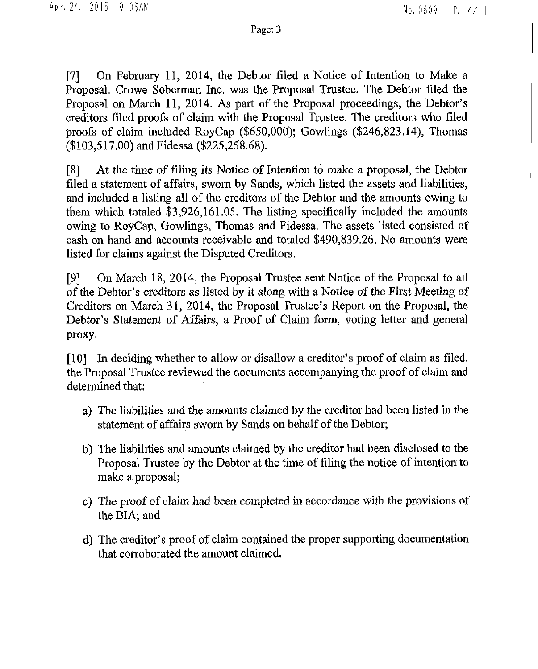[7] On February 11, 2014, the Debtor filed a Notice of Intention to Make a Proposal. Crowe Soberman Inc. was the Proposal Trustee. The Debtor filed the Proposal on March 11, 2014. As part of the Proposal proceedings, the Debtor's creditors filed proofs of claim with the Proposal Trustee. The creditors who filed proofs of claim included RoyCap (\$650,000); Cowlings (\$246,823.14), Thomas (\$103,517.00) and Fidessa (\$225,258.68).

[8] At the time of filing its Notice of Intention to make a proposal, the Debtor filed a statement of affairs, sworn by Sands, which listed the assets and liabilities, and included a listing all of the creditors of the Debtor and the amounts owing to them which totaled \$3,926,161.05. The listing specifically included the amounts owing to RoyCap, Cowlings, Thomas and Fidessa. The assets listed consisted of cash on hand and accounts receivable and totaled \$490,839.26. No amounts were listed for claims against the Disputed Creditors.

[9] On March 18, 2014, the Proposal Trustee sent Notice of the Proposal to all of the Debtor's creditors as listed by it along with a Notice of the First Meeting of Creditors on March 31, 2014, the Proposal Trustee's Report on the Proposal, the Debtor's Statement of Affairs, a Proof of Claim form, voting letter and general proxy.

[10] In deciding whether to allow or disallow a creditor's proof of claim as filed, the Proposal Trustee reviewed the documents accompanying the proof of claim and determined that:

- a) The liabilities and the amounts claimed by the creditor had been listed in the statement of affairs sworn by Sands on behalf of the Debtor;
- b) The liabilities and amounts claimed by the creditor had been disclosed to the Proposal Trustee by the Debtor at the time of filing the notice of intention to make a proposal;
- c) The proof of claim had been completed in accordance with the provisions of the BIA; and
- d) The creditor's proof of claim contained the proper supporting documentation that corroborated the amount claimed.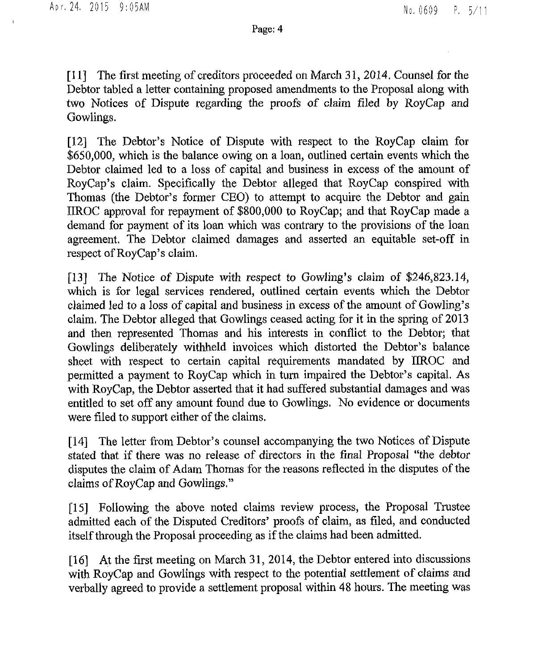[11] The first meeting of creditors proceeded on March 31, 2014, Counsel for the Debtor tabled a letter containing proposed amendments to the Proposal along with two Notices of Dispute regarding the proofs of claim filed by RoyCap and Cowlings,

[12] The Debtor's Notice of Dispute with respect to the RoyCap claim for \$650,000, which is the balance owing on a loan, outlined certain events which the Debtor claimed led to a loss of capital and business in excess of the amount of RoyCap's claim. Specifically the Debtor alleged that RoyCap conspired with Thomas (the Debtor's former CEO) to attempt to acquire the Debtor and gain IIROC approval for repayment of \$800,000 to RoyCap; and that RoyCap made a demand for payment of its loan which was contrary to the provisions of the loan agreement. The Debtor claimed damages and asserted an equitable set-off in respect of RoyCap's claim.

[13] The Notice of Dispute with respect to Cowling's claim of \$246,823.14, which is for legal services rendered, outlined certain events which the Debtor claimed led to a loss of capital and business in excess of the amount of Cowling's claim. The Debtor alleged that Cowlings ceased acting for it in the spring of 2013 and then represented Thomas and his interests in conflict to the Debtor; that Cowlings deliberately withheld invoices which distorted the Debtor's balance sheet with respect to certain capital requirements mandated by IIROC and permitted a payment to RoyCap which in turn impaired the Debtor's capital. As with RoyCap, the Debtor asserted that it had suffered substantial damages and was entitled to set off any amount found due to Cowlings. No evidence or documents were filed to support either of the claims.

[14] The letter from Debtor's counsel accompanying the two Notices of Dispute stated that if there was no release of directors in the final Proposal "the debtor disputes the claim of Adam Thomas for the reasons reflected in the disputes of the claims of RoyCap and Cowlings."

[15] Following the above noted claims review process, the Proposal Trustee admitted each of the Disputed Creditors' proofs of claim, as filed, and conducted itself through the Proposal proceeding as if the claims had been admitted.

[16] At the first meeting on March 31, 2014, the Debtor entered into discussions with RoyCap and Gowlings with respect to the potential settlement of claims and verbally agreed to provide a settlement proposal within 48 hours. The meeting was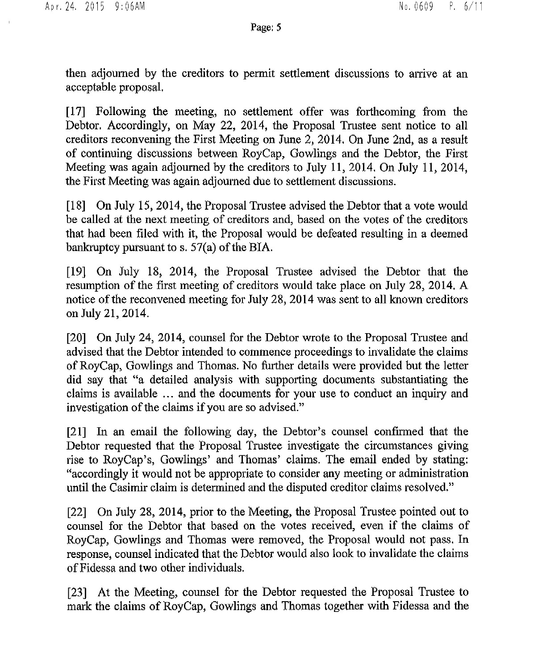then adjourned by the creditors to permit settlement discussions to arrive at an acceptable proposal,

[17] Following the meeting, no settlement offer was forthcoming from the Debtor. Accordingly, on May 22, 2014, the Proposal Trustee sent notice to all creditors reconvening the First Meeting on June 2, 2014. On June 2nd, as a result of continuing discussions between RoyCap, Gowlings and the Debtor, the First Meeting was again adjourned by the creditors to July 11, 2014, On July 11, 2014, the First Meeting was again adjourned due to settlement discussions.

[18] On July 15, 2014, the Proposal Trustee advised the Debtor that a vote would be called at the next meeting of creditors and, based on the votes of the creditors that had been filed with it, the Proposal would be defeated resulting in a deemed bankruptcy pursuant to s. 57(a) of the BIA.

[19] On July 18, 2014, the Proposal Trustee advised the Debtor that the resumption of the first meeting of creditors would take place on July 28, 2014, A notice of the reconvened meeting for July 28, 2014 was sent to all known creditors on July 21, 2014.

[20] On July 24, 2014, counsel for the Debtor wrote to the Proposal Trustee and advised that the Debtor intended to commence proceedings to invalidate the claims of RoyCap, Gowlings and Thomas. No further details were provided but the letter did say that "a detailed analysis with supporting documents substantiating the claims is available ... and the documents for your use to conduct an inquiry and investigation of the claims if you are so advised."

 $[21]$  In an email the following day, the Debtor's counsel confirmed that the Debtor requested that the Proposal Trustee investigate the circumstances giving rise to RoyCap's, Gowlings' and Thomas' claims. The email ended by stating: "accordingly it would not be appropriate to consider any meeting or administration until the Casimir claim is determined and the disputed creditor claims resolved,"

[22] On July 28, 2014, prior to the Meeting, the Proposal Trustee pointed out to counsel for the Debtor that based on the votes received, even if the claims of RoyCap, Gowlings and Thomas were removed, the Proposal would not pass. In response, counsel indicated that the Debtor would also look to invalidate the claims of Fidessa and two other individuals.

[23] At the Meeting, counsel for the Debtor requested the Proposal Trustee to mark the claims of RoyCap, Gowlings and Thomas together with Fidessa and the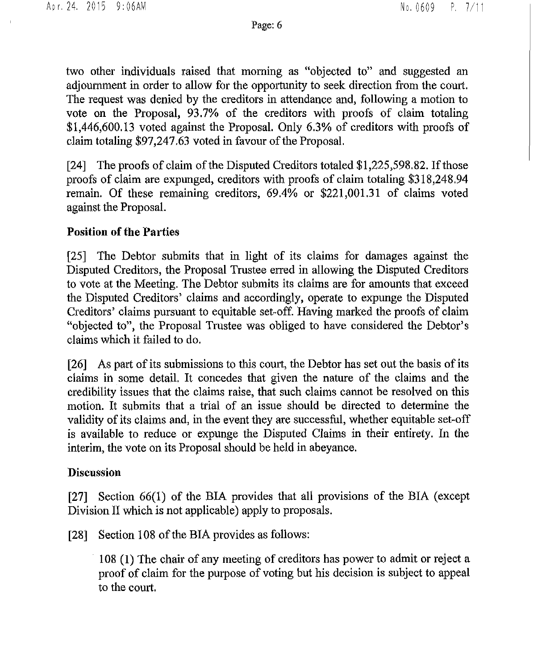two other individuals raised that morning as "objected to" and suggested an adjournment in order to allow for the opportunity to seek direction from the court. The request was denied by the creditors in attendance and, following a motion to vote on the Proposal, 93.7% of the creditors with proofs of claim totaling \$1,446,600.13 voted against the Proposal. Only 6.3% of creditors with proofs of claim totaling \$97,247,63 voted in favour of the Proposal.

[24] The proofs of claim of the Disputed Creditors totaled \$1,225,598.82. If those proofs of claim are expunged, creditors with proofs of claim totaling \$318,248.94 remain. Of these remaining creditors, 69.4% or \$221,001.31 of claims voted against the Proposal.

## **Position of the Parties**

[25] The Debtor submits that in light of its claims for damages against the Disputed Creditors, the Proposal Trustee erred in allowing the Disputed Creditors to vote at the Meeting. The Debtor submits its claims are for amounts that exceed the Disputed Creditors' claims and accordingly, operate to expunge the Disputed Creditors' claims pursuant to equitable set-off. Having marked the proofs of claim "objected to", the Proposal Trustee was obliged to have considered the Debtor's claims which it failed to do.

[26] As part of its submissions to this court, the Debtor has set out the basis of its claims in some detail. It concedes that given the nature of the claims and the credibility issues that the claims raise, that such claims cannot be resolved on this motion. It submits that a trial of an issue should be directed to determine the validity of its claims and, in the event they are successful, whether equitable set-off is available to reduce or expunge the Disputed Claims in their entirety. In the interim, the vote on its Proposal should be held in abeyance.

## **Discussion**

[27] Section 66(1) of the BIA provides that all provisions of the BIA (except Division II which is not applicable) apply to proposals.

[28] Section 108 of the BIA provides as follows:

108 (1) The chair of any meeting of creditors has power to admit or reject a proof of claim for the purpose of voting but his decision is subject to appeal to the court.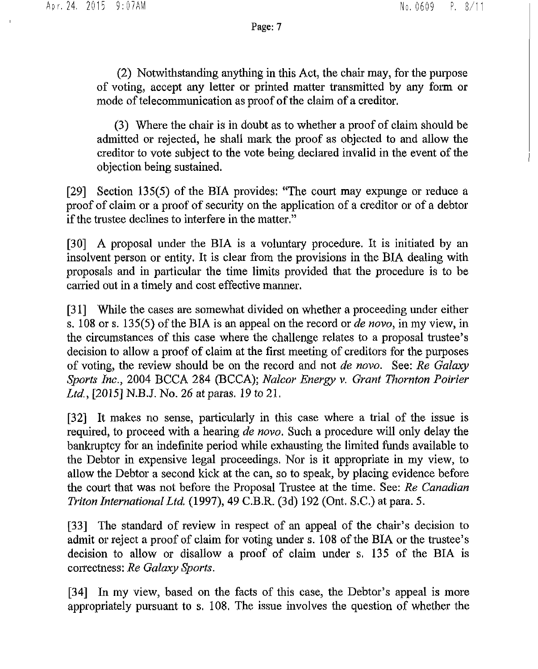(2) Notwithstanding anything in this Act, the chair may, for the purpose of voting, accept any letter or printed matter transmitted by any form or mode of telecommunication as proof of the claim of a creditor.

(3) Where the chair is in doubt as to whether a proof of claim should be admitted or rejected, he shall mark the proof as objected to and allow the creditor to vote subject to the vote being declared invalid in the event of the objection being sustained.

[29] Section 135(5) of the BIA provides: "The court may expunge or reduce a proof of claim or a proof of security on the application of a creditor or of a debtor if the trustee declines to interfere in the matter."

[30] A proposal under the BIA is a voluntary procedure. It is initiated by an insolvent person or entity. It is clear from the provisions in the BIA dealing with proposals and in particular the time limits provided that the procedure is to be carried out in a timely and cost effective manner.

[31] While the cases are somewhat divided on whether a proceeding under either s. 108 or s. 135(5) of the BIA is an appeal on the record or *de novo*, in my view, in the circumstances of this case where the challenge relates to a proposal trustee's decision to allow a proof of claim at the first meeting of creditors for the purposes of voting, the review should be on the record and not *de novo.* See: *Re Galaxy Sports Inc.,* 2004 BCCA 284 (BCCA); *Nalcor Energy* v. *Grant Thornton Poirier Ltd.*, [2015] N.B.J. No. 26 at paras. 19 to 21.

[32] It makes no sense, particularly in this case where a trial of the issue is required, to proceed with a hearing *de novo*. Such a procedure will only delay the bankruptcy for an indefinite period while exhausting the limited funds available to the Debtor in expensive legal proceedings. Nor is it appropriate in my view, to allow the Debtor a second kick at the can, so to speak, by placing evidence before the court that was not before the Proposal Trustee at the time. See: *Re Canadian Triton International Ltd.* (1997), 49 C.B.R. (3d) 192 (Ont. S.C.) at para. 5.

[33] The standard of review in respect of an appeal of the chair's decision to admit or reject a proof of claim for voting under s. 108 of the BIA or the trustee's decision to allow or disallow a proof of claim under s. 135 of the BIA is correctness: *Re Galaxy Sports.* 

[34] In my view, based on the facts of this case, the Debtor's appeal is more appropriately pursuant to s. 108. The issue involves the question of whether the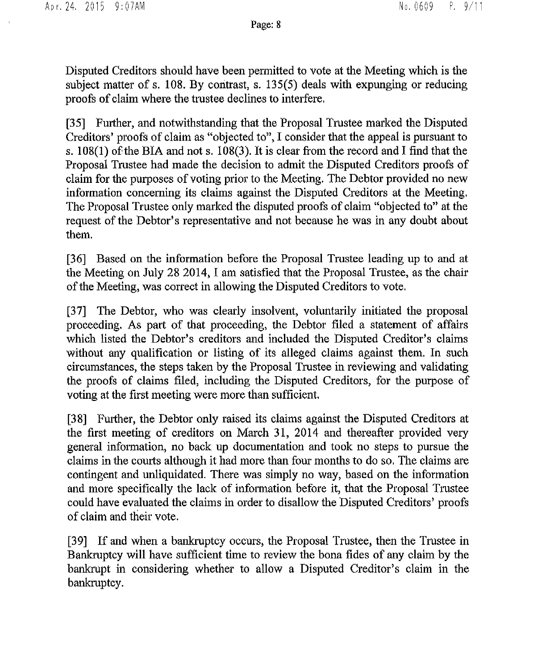Page: 8

Disputed Creditors should have been permitted to vote at the Meeting which is the subject matter of s, 108, By contrast, s. 135(5) deals with expunging or reducing proofs of claim where the trustee declines to interfere.

[35] Further, and notwithstanding that the Proposal Trustee marked the Disputed Creditors' proofs of claim as "objected to", I consider that the appeal is pursuant to s. 108(1) of the BIA and not s. 108(3). It is clear from the record and I find that the Proposal Trustee had made the decision to admit the Disputed Creditors proofs of claim for the purposes of voting prior to the Meeting. The Debtor provided no new information concerning its claims against the Disputed Creditors at the Meeting. The Proposal Trustee only marked the disputed proofs of claim "objected to" at the request of the Debtor's representative and not because he was in any doubt about them.

[36] Based on the information before the Proposal Trustee leading up to and at the Meeting on July 28 2014, I am satisfied that the Proposal Trustee, as the chair of the Meeting, was correct in allowing the Disputed Creditors to vote.

[37] The Debtor, who was clearly insolvent, voluntarily initiated the proposal proceeding. As part of that proceeding, the Debtor filed a statement of affairs which listed the Debtor's creditors and included the Disputed Creditor's claims without any qualification or listing of its alleged claims against them. In such circumstances, the steps taken by the Proposal Trustee in reviewing and validating the proofs of claims filed, including the Disputed Creditors, for the purpose of voting at the first meeting were more than sufficient.

[38] Further, the Debtor only raised its claims against the Disputed Creditors at the first meeting of creditors on March 31, 2014 and thereafter provided very general information, no back up documentation and took no steps to pursue the claims in the courts although it had more than four months to do so. The claims are contingent and unliquidated. There was simply no way, based on the information and more specifically the lack of information before it, that the Proposal Trustee could have evaluated the claims in order to disallow the Disputed Creditors' proofs of claim and their vote.

[39] If and when a bankruptcy occurs, the Proposal Trustee, then the Trustee in Bankruptcy will have sufficient time to review the bona fides of any claim by the bankrupt in considering whether to allow a Disputed Creditor's claim in the bankruptcy.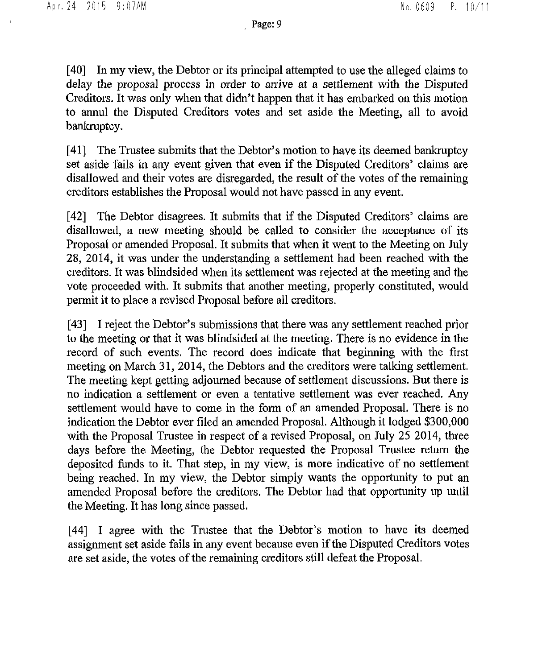[40] In my view, the Debtor or its principal attempted to use the alleged claims to delay the proposal process in order to arrive at a settlement with the Disputed Creditors. It was only when that didn't happen that it has embarked on this motion to annul the Disputed Creditors votes and set aside the Meeting, all to avoid bankruptcy.

[41] The Trustee submits that the Debtor's motion to have its deemed bankruptcy set aside fails in any event given that even if the Disputed Creditors' claims are disallowed and their votes are disregarded, the result of the votes of the remaining creditors establishes the Proposal would not have passed in any event.

[42] The Debtor disagrees. It submits that if the Disputed Creditors' claims are disallowed, a new meeting should be called to consider the acceptance of its Proposal or amended Proposal. It submits that when it went to the Meeting on July 28, 2014, it was under the understanding a settlement had been reached with the creditors. It was blindsided when its settlement was rejected at the meeting and the vote proceeded with. It submits that another meeting, properly constituted, would permit it to place a revised Proposal before all creditors.

[43] I reject the Debtor's submissions that there was any settlement reached prior to the meeting or that it was blindsided at the meeting. There is no evidence in the record of such events. The record does indicate that beginning with the first meeting on March 31, 2014, the Debtors and the creditors were talking settlement. The meeting kept getting adjourned because of settlement discussions. But there is no indication a settlement or even a tentative settlement was ever reached. Any settlement would have to come in the form of an amended Proposal. There is no indication the Debtor ever filed an amended Proposal. Although it lodged \$300,000 with the Proposal Trustee in respect of a revised Proposal, on July 25 2014, three days before the Meeting, the Debtor requested the Proposal Trustee return the deposited funds to it. That step, in my view, is more indicative of no settlement being reached. In my view, the Debtor simply wants the opportunity to put an amended Proposal before the creditors. The Debtor had that opportunity up until the Meeting. It has long since passed.

[44] I agree with the Trustee that the Debtor's motion to have its deemed assignment set aside fails in any event because even if the Disputed Creditors votes are set aside, the votes of the remaining creditors still defeat the Proposal.